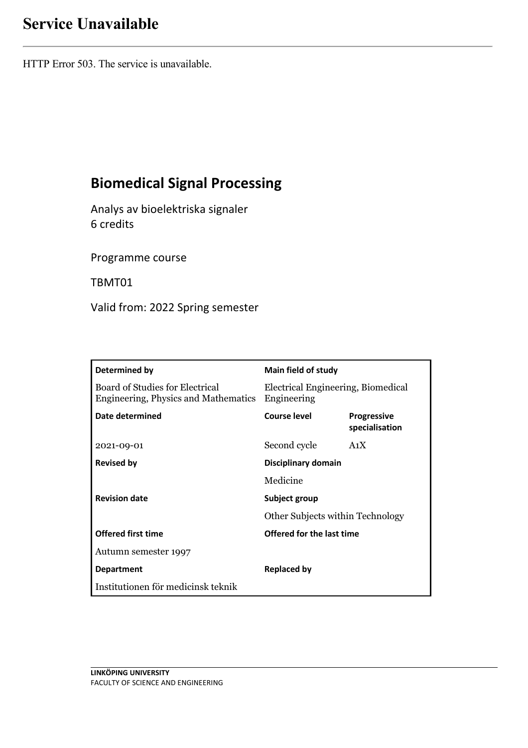# **Service Unavailable**

HTTP Error 503. The service is unavailable.

# **Biomedical Signal Processing**

Analys av bioelektriska signaler 6 credits

Programme course

TBMT01

Valid from: 2022 Spring semester

| Determined by                                                           | Main field of study                                      |                                      |
|-------------------------------------------------------------------------|----------------------------------------------------------|--------------------------------------|
| Board of Studies for Electrical<br>Engineering, Physics and Mathematics | Electrical Engineering, Biomedical<br>Engineering        |                                      |
| Date determined                                                         | Course level                                             | <b>Progressive</b><br>specialisation |
| 2021-09-01                                                              | Second cycle                                             | A <sub>1</sub> X                     |
| <b>Revised by</b>                                                       | Disciplinary domain                                      |                                      |
|                                                                         | Medicine                                                 |                                      |
| <b>Revision date</b>                                                    | Subject group<br><b>Other Subjects within Technology</b> |                                      |
|                                                                         |                                                          |                                      |
| <b>Offered first time</b>                                               | Offered for the last time                                |                                      |
| Autumn semester 1997                                                    |                                                          |                                      |
| <b>Department</b>                                                       | <b>Replaced by</b>                                       |                                      |
| Institutionen för medicinsk teknik                                      |                                                          |                                      |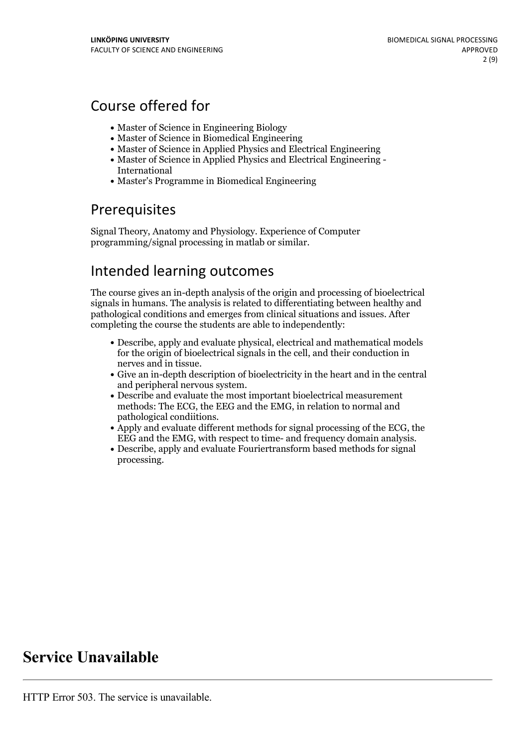## Course offered for

- Master of Science in Engineering Biology
- Master of Science in Biomedical Engineering
- Master of Science in Applied Physics and Electrical Engineering
- Master of Science in Applied Physics and Electrical Engineering International
- Master's Programme in Biomedical Engineering

## **Prerequisites**

Signal Theory, Anatomy and Physiology. Experience of Computer programming/signal processing in matlab or similar.

## Intended learning outcomes

The course gives an in-depth analysis of the origin and processing of bioelectrical signals in humans. The analysis is related to differentiating between healthy and pathological conditions and emerges from clinical situations and issues. After completing the course the students are able to independently:

- Describe, apply and evaluate physical, electrical and mathematical models for the origin of bioelectrical signals in the cell, and their conduction in
- nerves and in tissue.<br>• Give an in-depth description of bioelectricity in the heart and in the central and peripheral nervous system.
- Describe and evaluate the most important bioelectrical measurement methods: The ECG, the EEG and the EMG, in relation to normal and
- $\bullet$  Apply and evaluate different methods for signal processing of the ECG, the EEG and the EMG, with respect to time- and frequency domain analysis.<br>• Describe, apply and evaluate Fouriertransform based methods for signal
- processing.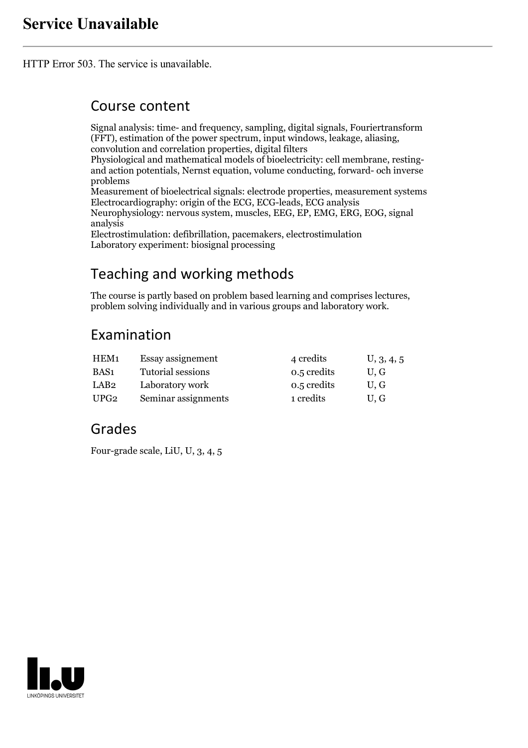HTTP Error 503. The service is unavailable.

### Course content

Signal analysis: time- and frequency, sampling, digital signals, Fouriertransform (FFT), estimation of the power spectrum, input windows, leakage, aliasing, convolution and correlation properties, digital filters Physiological and mathematical models of bioelectricity: cell membrane, resting- and action potentials, Nernst equation, volume conducting, forward- och inverse problems Measurement of bioelectrical signals: electrode properties, measurement systems Electrocardiography: origin of the ECG, ECG-leads, ECG analysis

Neurophysiology: nervous system, muscles, EEG, EP, EMG, ERG, EOG, signal analysis

Electrostimulation: defibrillation, pacemakers, electrostimulation Laboratory experiment: biosignal processing

# Teaching and working methods

The course is partly based on problem based learning and comprises lectures, problem solving individually and in various groups and laboratory work.

# Examination

| HEM1             | Essay assignement   | 4 credits   | U, 3, 4, 5 |
|------------------|---------------------|-------------|------------|
| BAS <sub>1</sub> | Tutorial sessions   | 0.5 credits | U.G        |
| LAB2             | Laboratory work     | 0.5 credits | U.G        |
| UPG2             | Seminar assignments | 1 credits   | U.G        |

## Grades

Four-grade scale, LiU, U, 3, 4, 5

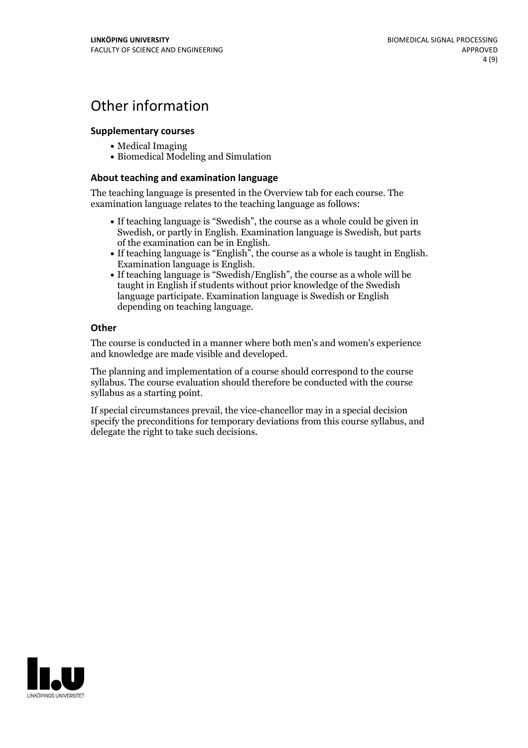## Other information

### **Supplementarycourses**

- Medical Imaging
- Biomedical Modeling and Simulation

#### **About teaching and examination language**

The teaching language is presented in the Overview tab for each course. The examination language relates to the teaching language as follows:

- If teaching language is "Swedish", the course as a whole could be given in Swedish, or partly in English. Examination language is Swedish, but parts
- If teaching language is "English", the course as a whole is taught in English. Examination language is English. If teaching language is "Swedish/English", the course as a whole will be
- taught in English if students without prior knowledge of the Swedish language participate. Examination language is Swedish or English depending on teaching language.

#### **Other**

The course is conducted in a manner where both men's and women's experience and knowledge are made visible and developed.

The planning and implementation of a course should correspond to the course syllabus. The course evaluation should therefore be conducted with the course syllabus as a starting point.

If special circumstances prevail, the vice-chancellor may in a special decision specify the preconditions for temporary deviations from this course syllabus, and delegate the right to take such decisions.

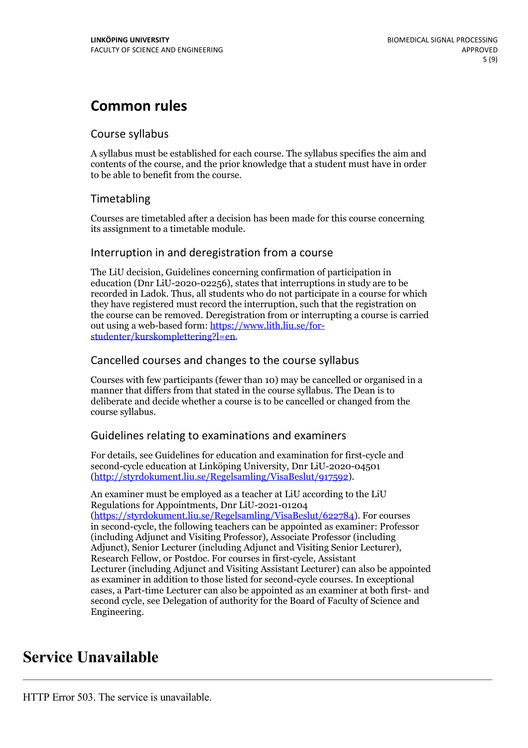# **Common rules**

### Course syllabus

A syllabus must be established for each course. The syllabus specifies the aim and contents of the course, and the prior knowledge that a student must have in order to be able to benefit from the course.

### Timetabling

Courses are timetabled after a decision has been made for this course concerning its assignment to a timetable module.

### Interruption in and deregistration from a course

The LiU decision, Guidelines concerning confirmation of participation in education (Dnr LiU-2020-02256), states that interruptions in study are to be recorded in Ladok. Thus, all students who do not participate in a course for which they have registered must record the interruption, such that the registration on the course can be removed. Deregistration from or interrupting a course is carried out using <sup>a</sup> web-based form: https://www.lith.liu.se/for- [studenter/kurskomplettering?l=en.](https://www.lith.liu.se/for-studenter/kurskomplettering?l=en)

### Cancelled courses and changes to the course syllabus

Courses with few participants (fewer than 10) may be cancelled or organised in a manner that differs from that stated in the course syllabus. The Dean is to deliberate and decide whether a course is to be cancelled or changed from the course syllabus.

### Guidelines relating to examinations and examiners

For details, see Guidelines for education and examination for first-cycle and second-cycle education at Linköping University, Dnr LiU-2020-04501 [\(http://styrdokument.liu.se/Regelsamling/VisaBeslut/917592\)](http://styrdokument.liu.se/Regelsamling/VisaBeslut/917592).

An examiner must be employed as a teacher at LiU according to the LiU Regulations for Appointments, Dnr LiU-2021-01204 [\(https://styrdokument.liu.se/Regelsamling/VisaBeslut/622784](https://styrdokument.liu.se/Regelsamling/VisaBeslut/622784)). For courses in second-cycle, the following teachers can be appointed as examiner: Professor (including Adjunct and Visiting Professor), Associate Professor (including Adjunct), Senior Lecturer (including Adjunct and Visiting Senior Lecturer), Research Fellow, or Postdoc. For courses in first-cycle, Assistant Lecturer (including Adjunct and Visiting Assistant Lecturer) can also be appointed as examiner in addition to those listed for second-cycle courses. In exceptional cases, a Part-time Lecturer can also be appointed as an examiner at both first- and second cycle, see Delegation of authority for the Board of Faculty of Science and Engineering.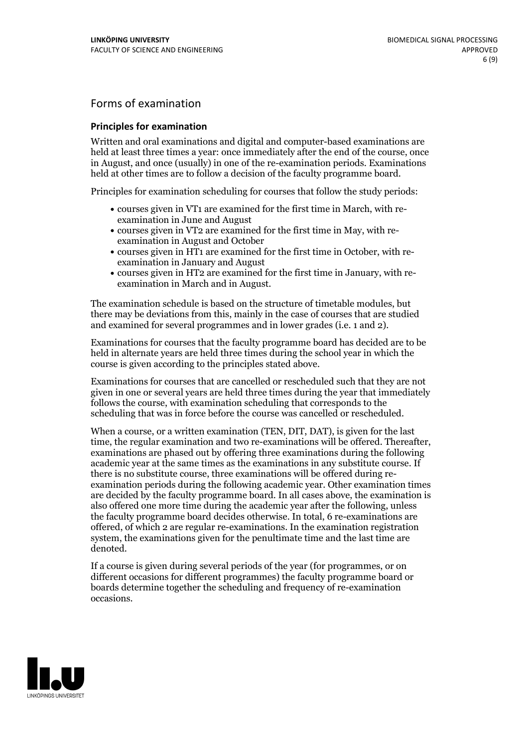### Forms of examination

#### **Principles for examination**

Written and oral examinations and digital and computer-based examinations are held at least three times a year: once immediately after the end of the course, once in August, and once (usually) in one of the re-examination periods. Examinations held at other times are to follow a decision of the faculty programme board.

Principles for examination scheduling for courses that follow the study periods:

- courses given in VT1 are examined for the first time in March, with re-examination in June and August
- courses given in VT2 are examined for the first time in May, with re-examination in August and October
- courses given in HT1 are examined for the first time in October, with re-examination in January and August
- courses given in HT2 are examined for the first time in January, with re-examination in March and in August.

The examination schedule is based on the structure of timetable modules, but there may be deviations from this, mainly in the case of courses that are studied and examined for several programmes and in lower grades (i.e. 1 and 2).

Examinations for courses that the faculty programme board has decided are to be held in alternate years are held three times during the school year in which the course is given according to the principles stated above.

Examinations for courses that are cancelled orrescheduled such that they are not given in one or several years are held three times during the year that immediately follows the course, with examination scheduling that corresponds to the scheduling that was in force before the course was cancelled or rescheduled.

When a course, or a written examination (TEN, DIT, DAT), is given for the last time, the regular examination and two re-examinations will be offered. Thereafter, examinations are phased out by offering three examinations during the following academic year at the same times as the examinations in any substitute course. If there is no substitute course, three examinations will be offered during re- examination periods during the following academic year. Other examination times are decided by the faculty programme board. In all cases above, the examination is also offered one more time during the academic year after the following, unless the faculty programme board decides otherwise. In total, 6 re-examinations are offered, of which 2 are regular re-examinations. In the examination registration system, the examinations given for the penultimate time and the last time are denoted.

If a course is given during several periods of the year (for programmes, or on different occasions for different programmes) the faculty programme board or boards determine together the scheduling and frequency of re-examination occasions.

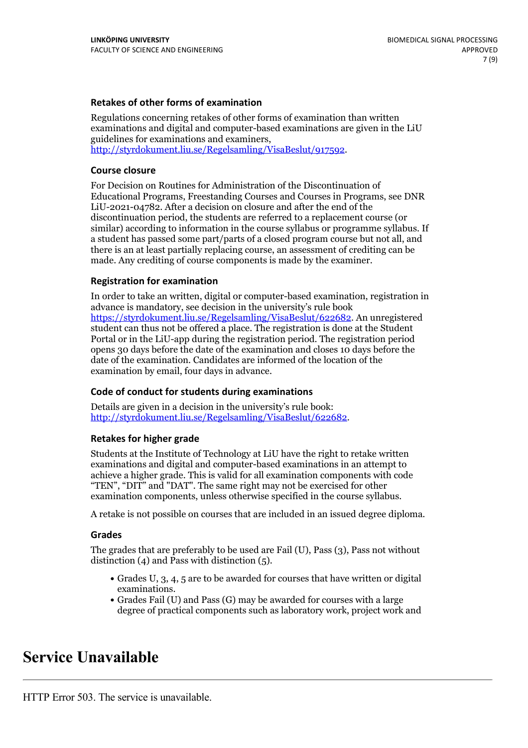### **Retakes of other forms of examination**

Regulations concerning retakes of other forms of examination than written examinations and digital and computer-based examinations are given in the LiU guidelines for examinations and examiners, [http://styrdokument.liu.se/Regelsamling/VisaBeslut/917592.](http://styrdokument.liu.se/Regelsamling/VisaBeslut/917592)

#### **Course closure**

For Decision on Routines for Administration of the Discontinuation of Educational Programs, Freestanding Courses and Courses in Programs, see DNR LiU-2021-04782. After a decision on closure and after the end of the discontinuation period, the students are referred to a replacement course (or similar) according to information in the course syllabus or programme syllabus. If a student has passed some part/parts of a closed program course but not all, and there is an at least partially replacing course, an assessment of crediting can be made. Any crediting of course components is made by the examiner.

### **Registration for examination**

In order to take an written, digital or computer-based examination, registration in advance is mandatory, see decision in the university's rule book [https://styrdokument.liu.se/Regelsamling/VisaBeslut/622682.](https://styrdokument.liu.se/Regelsamling/VisaBeslut/622682) An unregistered student can thus not be offered a place. The registration is done at the Student Portal or in the LiU-app during the registration period. The registration period opens 30 days before the date of the examination and closes 10 days before the date of the examination. Candidates are informed of the location of the examination by email, four days in advance.

### **Code of conduct for students during examinations**

Details are given in a decision in the university's rule book: <http://styrdokument.liu.se/Regelsamling/VisaBeslut/622682>.

#### **Retakes for higher grade**

Students at the Institute of Technology at LiU have the right to retake written examinations and digital and computer-based examinations in an attempt to achieve a higher grade. This is valid for all examination components with code "TEN", "DIT" and "DAT". The same right may not be exercised for other examination components, unless otherwise specified in the course syllabus.

A retake is not possible on courses that are included in an issued degree diploma.

#### **Grades**

The grades that are preferably to be used are Fail (U), Pass (3), Pass not without distinction  $(4)$  and Pass with distinction  $(5)$ .

- Grades U, 3, 4, 5 are to be awarded for courses that have written or digital examinations.<br>• Grades Fail (U) and Pass (G) may be awarded for courses with a large
- degree of practical components such as laboratory work, project work and

### **Service Unavailable**

HTTP Error 503. The service is unavailable.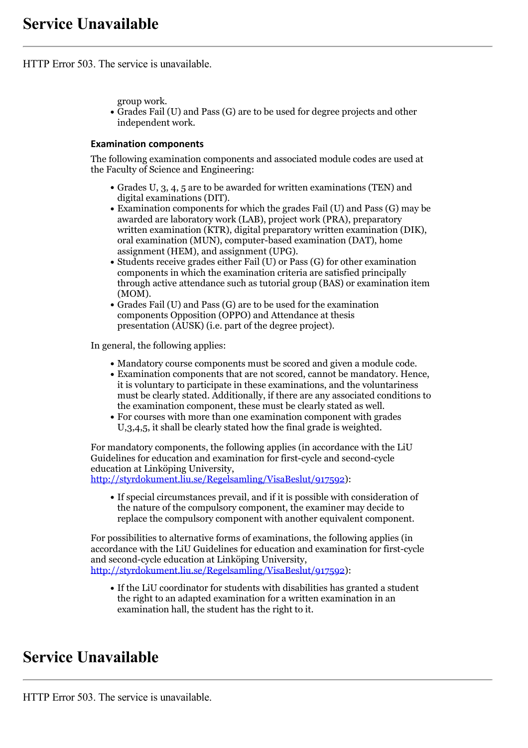HTTP Error 503. The service is unavailable.

group work.<br>• Grades Fail (U) and Pass (G) are to be used for degree projects and other independent work.

#### **Examination components**

The following examination components and associated module codes are used at the Faculty of Science and Engineering:

- Grades U, 3, 4, 5 are to be awarded for written examinations (TEN) and
- digital examinations (DIT).<br>• Examination components for which the grades Fail (U) and Pass (G) may be awarded are laboratory work (LAB), project work (PRA), preparatory written examination (KTR), digital preparatory written examination (DIK), oral examination (MUN), computer-based examination (DAT), home assignment (HEM), and assignment (UPG).
- Students receive grades either Fail (U) or Pass (G) for other examination components in which the examination criteria are satisfied principally through active attendance such as tutorial group (BAS) or examination item (MOM).<br>• Grades Fail (U) and Pass (G) are to be used for the examination
- components Opposition (OPPO) and Attendance at thesis presentation (AUSK) (i.e. part of the degree project).

In general, the following applies:

- 
- Mandatory course components must be scored and given <sup>a</sup> module code. Examination components that are not scored, cannot be mandatory. Hence, it is voluntary to participate in these examinations, and the voluntariness must be clearly stated. Additionally, if there are any associated conditions to
- the examination component, these must be clearly stated as well.<br>• For courses with more than one examination component with grades U,3,4,5, it shall be clearly stated how the final grade is weighted.

For mandatory components, the following applies (in accordance with the LiU Guidelines for education and examination for first-cycle and second-cycle education at Linköping University,<br>[http://styrdokument.liu.se/Regelsamling/VisaBeslut/917592\)](http://styrdokument.liu.se/Regelsamling/VisaBeslut/917592):

If special circumstances prevail, and if it is possible with consideration of the nature of the compulsory component, the examiner may decide to replace the compulsory component with another equivalent component.

For possibilities to alternative forms of examinations, the following applies (in accordance with the LiU Guidelines for education and examination for first-cycle [http://styrdokument.liu.se/Regelsamling/VisaBeslut/917592\)](http://styrdokument.liu.se/Regelsamling/VisaBeslut/917592):

If the LiU coordinator for students with disabilities has granted a student the right to an adapted examination for a written examination in an examination hall, the student has the right to it.